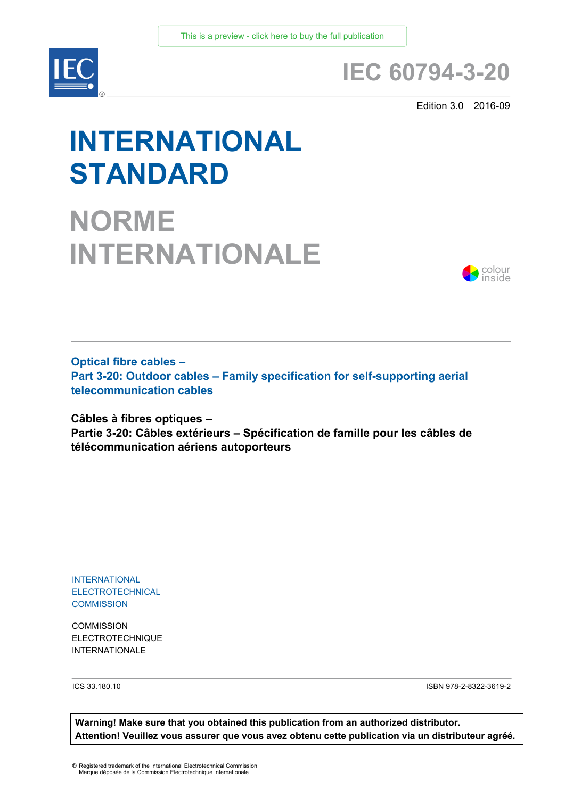

## **IEC 60794-3-20**

Edition 3.0 2016-09

# **INTERNATIONAL STANDARD**

**NORME INTERNATIONALE**



**Optical fibre cables – Part 3-20: Outdoor cables – Family specification for self-supporting aerial telecommunication cables** 

**Câbles à fibres optiques – Partie 3-20: Câbles extérieurs – Spécification de famille pour les câbles de télécommunication aériens autoporteurs**

INTERNATIONAL ELECTROTECHNICAL **COMMISSION** 

**COMMISSION** ELECTROTECHNIQUE INTERNATIONALE

ICS 33.180.10 ISBN 978-2-8322-3619-2

**Warning! Make sure that you obtained this publication from an authorized distributor. Attention! Veuillez vous assurer que vous avez obtenu cette publication via un distributeur agréé.**

® Registered trademark of the International Electrotechnical Commission Marque déposée de la Commission Electrotechnique Internationale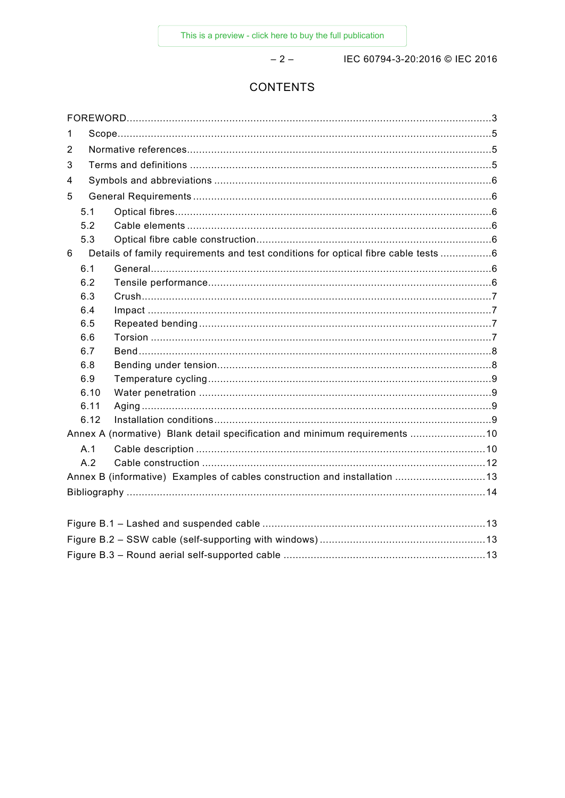$-2-$ 

IEC 60794-3-20:2016 © IEC 2016

## **CONTENTS**

| 1                                                                          |                                                                                    |  |  |  |  |  |
|----------------------------------------------------------------------------|------------------------------------------------------------------------------------|--|--|--|--|--|
| 2                                                                          |                                                                                    |  |  |  |  |  |
| 3                                                                          |                                                                                    |  |  |  |  |  |
| 4                                                                          |                                                                                    |  |  |  |  |  |
| 5                                                                          |                                                                                    |  |  |  |  |  |
|                                                                            | 5.1                                                                                |  |  |  |  |  |
|                                                                            | 5.2                                                                                |  |  |  |  |  |
|                                                                            | 5.3                                                                                |  |  |  |  |  |
| 6                                                                          | Details of family requirements and test conditions for optical fibre cable tests 6 |  |  |  |  |  |
|                                                                            | 6.1                                                                                |  |  |  |  |  |
|                                                                            | 6.2                                                                                |  |  |  |  |  |
|                                                                            | 6.3                                                                                |  |  |  |  |  |
|                                                                            | 6.4                                                                                |  |  |  |  |  |
|                                                                            | 6.5                                                                                |  |  |  |  |  |
|                                                                            | 6.6                                                                                |  |  |  |  |  |
|                                                                            | 6.7                                                                                |  |  |  |  |  |
|                                                                            | 6.8                                                                                |  |  |  |  |  |
|                                                                            | 6.9                                                                                |  |  |  |  |  |
|                                                                            | 6.10                                                                               |  |  |  |  |  |
|                                                                            | 6.11                                                                               |  |  |  |  |  |
|                                                                            | 6.12                                                                               |  |  |  |  |  |
| Annex A (normative) Blank detail specification and minimum requirements 10 |                                                                                    |  |  |  |  |  |
|                                                                            | A.1                                                                                |  |  |  |  |  |
|                                                                            | A.2                                                                                |  |  |  |  |  |
|                                                                            | Annex B (informative) Examples of cables construction and installation 13          |  |  |  |  |  |
|                                                                            |                                                                                    |  |  |  |  |  |
|                                                                            |                                                                                    |  |  |  |  |  |
|                                                                            |                                                                                    |  |  |  |  |  |
|                                                                            |                                                                                    |  |  |  |  |  |
|                                                                            |                                                                                    |  |  |  |  |  |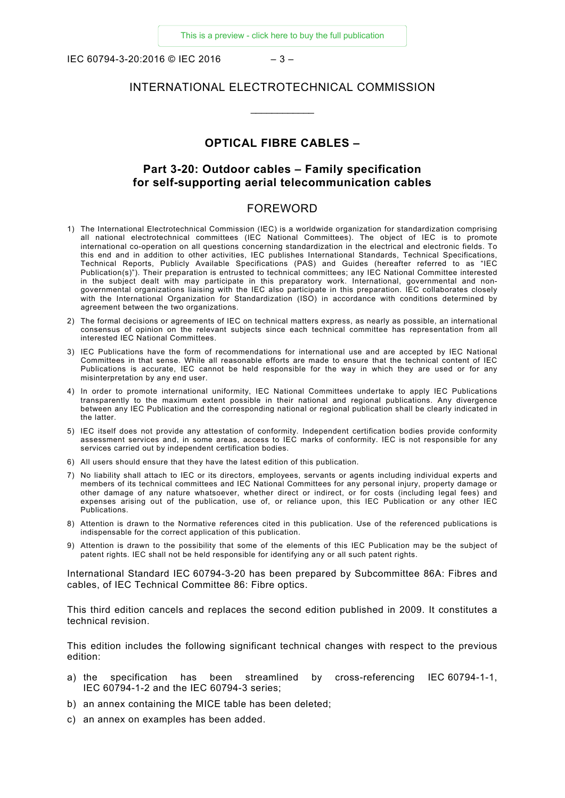IEC 60794-3-20:2016 © IEC 2016 – 3 –

#### INTERNATIONAL ELECTROTECHNICAL COMMISSION

\_\_\_\_\_\_\_\_\_\_\_\_

## **OPTICAL FIBRE CABLES –**

#### **Part 3-20: Outdoor cables – Family specification for self-supporting aerial telecommunication cables**

#### FOREWORD

- <span id="page-2-0"></span>1) The International Electrotechnical Commission (IEC) is a worldwide organization for standardization comprising all national electrotechnical committees (IEC National Committees). The object of IEC is to promote international co-operation on all questions concerning standardization in the electrical and electronic fields. To this end and in addition to other activities, IEC publishes International Standards, Technical Specifications, Technical Reports, Publicly Available Specifications (PAS) and Guides (hereafter referred to as "IEC Publication(s)"). Their preparation is entrusted to technical committees; any IEC National Committee interested in the subject dealt with may participate in this preparatory work. International, governmental and nongovernmental organizations liaising with the IEC also participate in this preparation. IEC collaborates closely with the International Organization for Standardization (ISO) in accordance with conditions determined by agreement between the two organizations.
- 2) The formal decisions or agreements of IEC on technical matters express, as nearly as possible, an international consensus of opinion on the relevant subjects since each technical committee has representation from all interested IEC National Committees.
- 3) IEC Publications have the form of recommendations for international use and are accepted by IEC National Committees in that sense. While all reasonable efforts are made to ensure that the technical content of IEC Publications is accurate, IEC cannot be held responsible for the way in which they are used or for any misinterpretation by any end user.
- 4) In order to promote international uniformity, IEC National Committees undertake to apply IEC Publications transparently to the maximum extent possible in their national and regional publications. Any divergence between any IEC Publication and the corresponding national or regional publication shall be clearly indicated in the latter.
- 5) IEC itself does not provide any attestation of conformity. Independent certification bodies provide conformity assessment services and, in some areas, access to IEC marks of conformity. IEC is not responsible for any services carried out by independent certification bodies.
- 6) All users should ensure that they have the latest edition of this publication.
- 7) No liability shall attach to IEC or its directors, employees, servants or agents including individual experts and members of its technical committees and IEC National Committees for any personal injury, property damage or other damage of any nature whatsoever, whether direct or indirect, or for costs (including legal fees) and expenses arising out of the publication, use of, or reliance upon, this IEC Publication or any other IEC Publications.
- 8) Attention is drawn to the Normative references cited in this publication. Use of the referenced publications is indispensable for the correct application of this publication.
- 9) Attention is drawn to the possibility that some of the elements of this IEC Publication may be the subject of patent rights. IEC shall not be held responsible for identifying any or all such patent rights.

International Standard IEC 60794-3-20 has been prepared by Subcommittee 86A: Fibres and cables, of IEC Technical Committee 86: Fibre optics.

This third edition cancels and replaces the second edition published in 2009. It constitutes a technical revision.

This edition includes the following significant technical changes with respect to the previous edition:

- a) the specification has been streamlined by cross-referencing IEC 60794-1-1, IEC 60794-1-2 and the IEC 60794-3 series;
- b) an annex containing the MICE table has been deleted;
- c) an annex on examples has been added.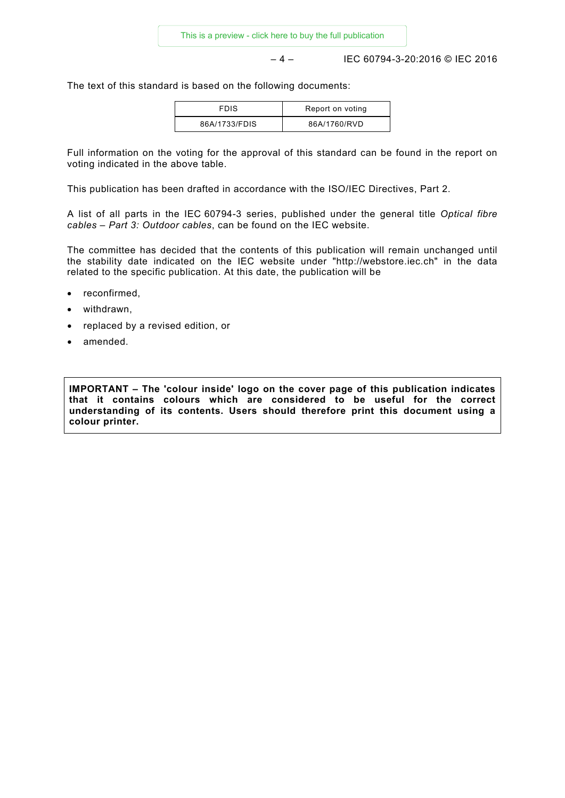– 4 – IEC 60794-3-20:2016 © IEC 2016

The text of this standard is based on the following documents:

| FDIS          | Report on voting |
|---------------|------------------|
| 86A/1733/FDIS | 86A/1760/RVD     |

Full information on the voting for the approval of this standard can be found in the report on voting indicated in the above table.

This publication has been drafted in accordance with the ISO/IEC Directives, Part 2.

A list of all parts in the IEC 60794-3 series, published under the general title *Optical fibre cables – Part 3: Outdoor cables*, can be found on the IEC website.

The committee has decided that the contents of this publication will remain unchanged until the stability date indicated on the IEC website under "http://webstore.iec.ch" in the data related to the specific publication. At this date, the publication will be

- reconfirmed,
- withdrawn,
- replaced by a revised edition, or
- amended.

**IMPORTANT – The 'colour inside' logo on the cover page of this publication indicates that it contains colours which are considered to be useful for the correct understanding of its contents. Users should therefore print this document using a colour printer.**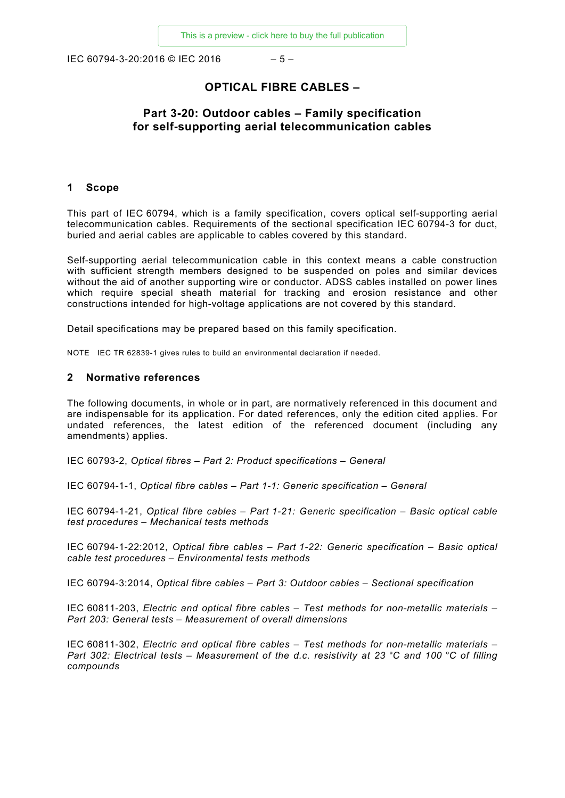IEC 60794-3-20:2016 © IEC 2016 – 5 –

## **OPTICAL FIBRE CABLES –**

## **Part 3-20: Outdoor cables – Family specification for self-supporting aerial telecommunication cables**

#### <span id="page-4-0"></span>**1 Scope**

This part of IEC 60794, which is a family specification, covers optical self-supporting aerial telecommunication cables. Requirements of the sectional specification IEC 60794-3 for duct, buried and aerial cables are applicable to cables covered by this standard.

Self-supporting aerial telecommunication cable in this context means a cable construction with sufficient strength members designed to be suspended on poles and similar devices without the aid of another supporting wire or conductor. ADSS cables installed on power lines which require special sheath material for tracking and erosion resistance and other constructions intended for high-voltage applications are not covered by this standard.

Detail specifications may be prepared based on this family specification.

NOTE IEC TR 62839-1 gives rules to build an environmental declaration if needed.

#### <span id="page-4-1"></span>**2 Normative references**

The following documents, in whole or in part, are normatively referenced in this document and are indispensable for its application. For dated references, only the edition cited applies. For undated references, the latest edition of the referenced document (including any amendments) applies.

IEC 60793-2, *Optical fibres – Part 2: Product specifications – General*

IEC 60794-1-1, *Optical fibre cables – Part 1-1: Generic specification – General*

IEC 60794-1-21, *Optical fibre cables – Part 1-21: Generic specification – Basic optical cable test procedures – Mechanical tests methods*

IEC 60794-1-22:2012, *Optical fibre cables – Part 1-22: Generic specification – Basic optical cable test procedures – Environmental tests methods*

IEC 60794-3:2014, *Optical fibre cables – Part 3: Outdoor cables – Sectional specification*

IEC 60811-203, *Electric and optical fibre cables – Test methods for non-metallic materials – Part 203: General tests – Measurement of overall dimensions*

<span id="page-4-2"></span>IEC 60811-302, *Electric and optical fibre cables – Test methods for non-metallic materials – Part 302: Electrical tests – Measurement of the d.c. resistivity at 23 °C and 100 °C of filling compounds*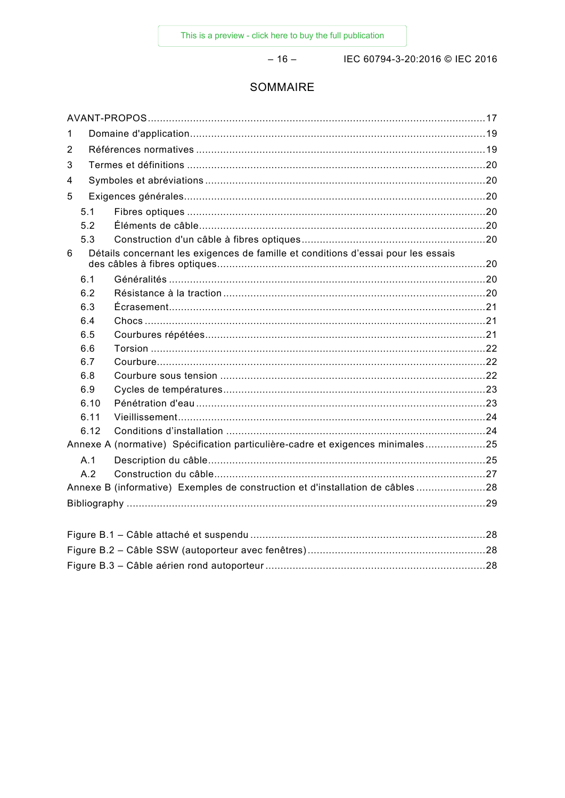$-16-$ 

IEC 60794-3-20:2016 © IEC 2016

## SOMMAIRE

| 1                                                                              |                                                                                   |  |  |  |  |  |
|--------------------------------------------------------------------------------|-----------------------------------------------------------------------------------|--|--|--|--|--|
| 2                                                                              |                                                                                   |  |  |  |  |  |
| 3                                                                              |                                                                                   |  |  |  |  |  |
| 4                                                                              |                                                                                   |  |  |  |  |  |
| 5                                                                              |                                                                                   |  |  |  |  |  |
|                                                                                | 5.1                                                                               |  |  |  |  |  |
|                                                                                | 5.2                                                                               |  |  |  |  |  |
|                                                                                | 5.3                                                                               |  |  |  |  |  |
| 6                                                                              | Détails concernant les exigences de famille et conditions d'essai pour les essais |  |  |  |  |  |
|                                                                                | 6.1                                                                               |  |  |  |  |  |
|                                                                                | 6.2                                                                               |  |  |  |  |  |
|                                                                                | 6.3                                                                               |  |  |  |  |  |
|                                                                                | 6.4                                                                               |  |  |  |  |  |
|                                                                                | 6.5                                                                               |  |  |  |  |  |
|                                                                                | 6.6                                                                               |  |  |  |  |  |
|                                                                                | 6.7                                                                               |  |  |  |  |  |
|                                                                                | 6.8                                                                               |  |  |  |  |  |
|                                                                                | 6.9                                                                               |  |  |  |  |  |
|                                                                                | 6.10                                                                              |  |  |  |  |  |
|                                                                                | 6.11                                                                              |  |  |  |  |  |
|                                                                                | 6.12                                                                              |  |  |  |  |  |
| Annexe A (normative) Spécification particulière-cadre et exigences minimales25 |                                                                                   |  |  |  |  |  |
|                                                                                | A.1                                                                               |  |  |  |  |  |
|                                                                                | A.2                                                                               |  |  |  |  |  |
| Annexe B (informative) Exemples de construction et d'installation de câbles 28 |                                                                                   |  |  |  |  |  |
|                                                                                |                                                                                   |  |  |  |  |  |
|                                                                                |                                                                                   |  |  |  |  |  |
|                                                                                |                                                                                   |  |  |  |  |  |
|                                                                                |                                                                                   |  |  |  |  |  |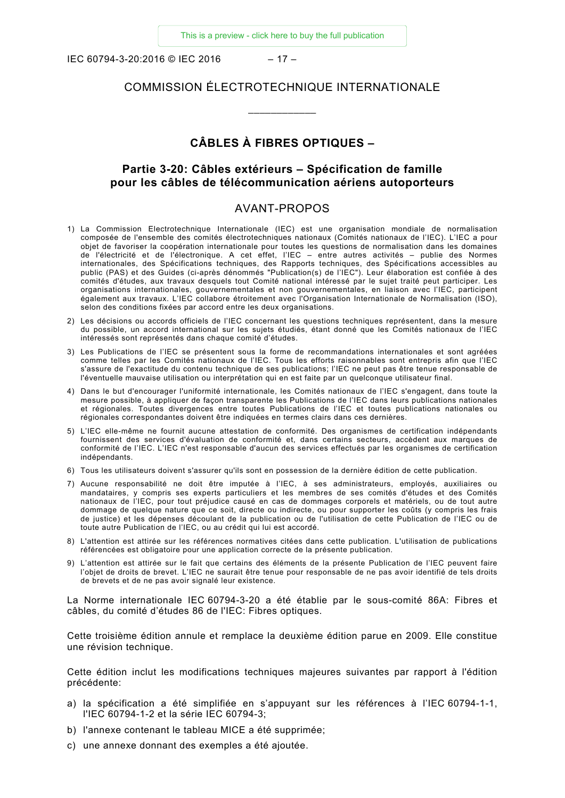IEC 60794-3-20:2016 © IEC 2016 – 17 –

#### COMMISSION ÉLECTROTECHNIQUE INTERNATIONALE

\_\_\_\_\_\_\_\_\_\_\_\_

## **CÂBLES À FIBRES OPTIQUES –**

#### **Partie 3-20: Câbles extérieurs – Spécification de famille pour les câbles de télécommunication aériens autoporteurs**

#### AVANT-PROPOS

- <span id="page-6-0"></span>1) La Commission Electrotechnique Internationale (IEC) est une organisation mondiale de normalisation composée de l'ensemble des comités électrotechniques nationaux (Comités nationaux de l'IEC). L'IEC a pour objet de favoriser la coopération internationale pour toutes les questions de normalisation dans les domaines de l'électricité et de l'électronique. A cet effet, l'IEC – entre autres activités – publie des Normes internationales, des Spécifications techniques, des Rapports techniques, des Spécifications accessibles au public (PAS) et des Guides (ci-après dénommés "Publication(s) de l'IEC"). Leur élaboration est confiée à des comités d'études, aux travaux desquels tout Comité national intéressé par le sujet traité peut participer. Les organisations internationales, gouvernementales et non gouvernementales, en liaison avec l'IEC, participent également aux travaux. L'IEC collabore étroitement avec l'Organisation Internationale de Normalisation (ISO), selon des conditions fixées par accord entre les deux organisations.
- 2) Les décisions ou accords officiels de l'IEC concernant les questions techniques représentent, dans la mesure du possible, un accord international sur les sujets étudiés, étant donné que les Comités nationaux de l'IEC intéressés sont représentés dans chaque comité d'études.
- 3) Les Publications de l'IEC se présentent sous la forme de recommandations internationales et sont agréées comme telles par les Comités nationaux de l'IEC. Tous les efforts raisonnables sont entrepris afin que l'IEC s'assure de l'exactitude du contenu technique de ses publications; l'IEC ne peut pas être tenue responsable de l'éventuelle mauvaise utilisation ou interprétation qui en est faite par un quelconque utilisateur final.
- 4) Dans le but d'encourager l'uniformité internationale, les Comités nationaux de l'IEC s'engagent, dans toute la mesure possible, à appliquer de façon transparente les Publications de l'IEC dans leurs publications nationales et régionales. Toutes divergences entre toutes Publications de l'IEC et toutes publications nationales ou régionales correspondantes doivent être indiquées en termes clairs dans ces dernières.
- 5) L'IEC elle-même ne fournit aucune attestation de conformité. Des organismes de certification indépendants fournissent des services d'évaluation de conformité et, dans certains secteurs, accèdent aux marques de conformité de l'IEC. L'IEC n'est responsable d'aucun des services effectués par les organismes de certification indépendants.
- 6) Tous les utilisateurs doivent s'assurer qu'ils sont en possession de la dernière édition de cette publication.
- 7) Aucune responsabilité ne doit être imputée à l'IEC, à ses administrateurs, employés, auxiliaires ou mandataires, y compris ses experts particuliers et les membres de ses comités d'études et des Comités nationaux de l'IEC, pour tout préjudice causé en cas de dommages corporels et matériels, ou de tout autre dommage de quelque nature que ce soit, directe ou indirecte, ou pour supporter les coûts (y compris les frais de justice) et les dépenses découlant de la publication ou de l'utilisation de cette Publication de l'IEC ou de toute autre Publication de l'IEC, ou au crédit qui lui est accordé.
- 8) L'attention est attirée sur les références normatives citées dans cette publication. L'utilisation de publications référencées est obligatoire pour une application correcte de la présente publication.
- 9) L'attention est attirée sur le fait que certains des éléments de la présente Publication de l'IEC peuvent faire l'objet de droits de brevet. L'IEC ne saurait être tenue pour responsable de ne pas avoir identifié de tels droits de brevets et de ne pas avoir signalé leur existence.

La Norme internationale IEC 60794-3-20 a été établie par le sous-comité 86A: Fibres et câbles, du comité d'études 86 de l'IEC: Fibres optiques.

Cette troisième édition annule et remplace la deuxième édition parue en 2009. Elle constitue une révision technique.

Cette édition inclut les modifications techniques majeures suivantes par rapport à l'édition précédente:

- a) la spécification a été simplifiée en s'appuyant sur les références à l'IEC 60794-1-1, l'IEC 60794-1-2 et la série IEC 60794-3;
- b) l'annexe contenant le tableau MICE a été supprimée;
- c) une annexe donnant des exemples a été ajoutée.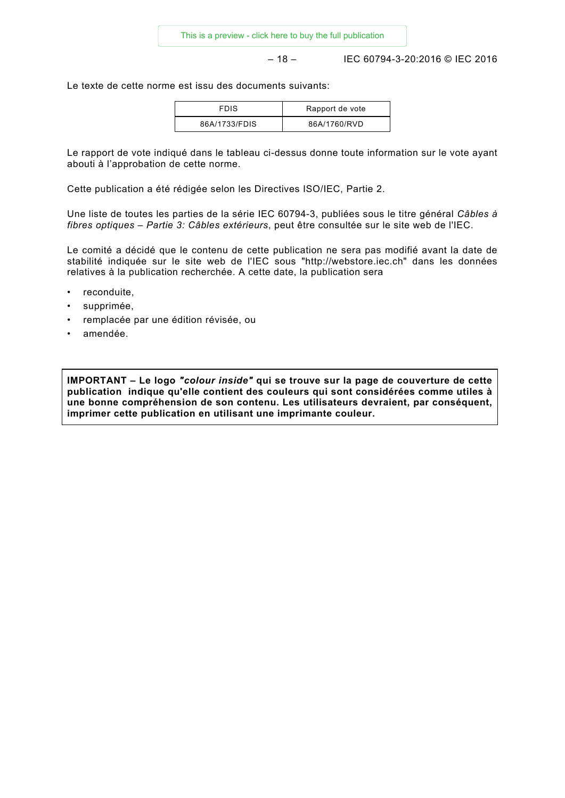– 18 – IEC 60794-3-20:2016 © IEC 2016

Le texte de cette norme est issu des documents suivants:

| <b>FDIS</b>   | Rapport de vote |
|---------------|-----------------|
| 86A/1733/FDIS | 86A/1760/RVD    |

Le rapport de vote indiqué dans le tableau ci-dessus donne toute information sur le vote ayant abouti à l'approbation de cette norme.

Cette publication a été rédigée selon les Directives ISO/IEC, Partie 2.

Une liste de toutes les parties de la série IEC 60794-3, publiées sous le titre général *Câbles à fibres optiques – Partie 3: Câbles extérieurs*, peut être consultée sur le site web de l'IEC.

Le comité a décidé que le contenu de cette publication ne sera pas modifié avant la date de stabilité indiquée sur le site web de l'IEC sous "http://webstore.iec.ch" dans les données relatives à la publication recherchée. A cette date, la publication sera

- reconduite,
- supprimée,
- remplacée par une édition révisée, ou
- amendée.

**IMPORTANT – Le logo** *"colour inside"* **qui se trouve sur la page de couverture de cette publication indique qu'elle contient des couleurs qui sont considérées comme utiles à une bonne compréhension de son contenu. Les utilisateurs devraient, par conséquent, imprimer cette publication en utilisant une imprimante couleur.**